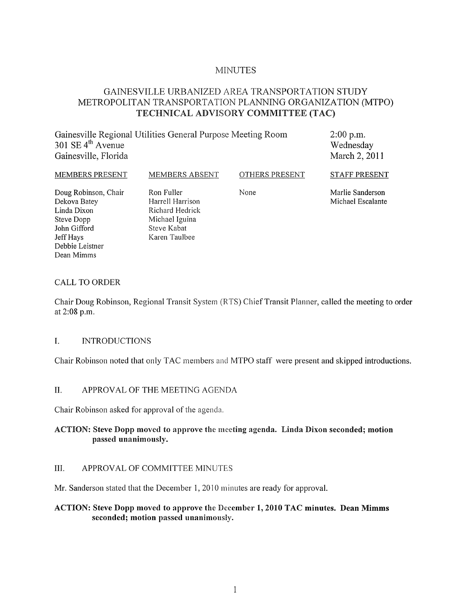## MINUTES

# GAINESVILLE URBANIZED AREA TRANSPORTATION STUDY METROPOLITAN TRANSPORTATION PLANNING ORGANIZATION (MTPO) TECHNICAL ADVISORY COMMITTEE (TAC)

| Gainesville Regional Utilities General Purpose Meeting Room | $2:00$ p.m.   |
|-------------------------------------------------------------|---------------|
| 301 SE $4^{\text{th}}$ Avenue                               | Wednesday     |
| Gainesville, Florida                                        | March 2, 2011 |
|                                                             |               |

MEMBERS PRESENT Doug Robinson, Chair Dekova Batey Linda Dixon Steve Dopp John Gifford Jeff Hays Debbie Leistner MEMBERS ABSENT Ron Fuller Steve Kabat

Harrell Harrison Richard Hedrick Michael Iguina Karen Taulbee

OTHERS PRESENT

None

Marlie Sanderson Michael Escalante

STAFF PRESENT

#### CALL TO ORDER

Dean Mimms

Chair Doug Robinson, Regional Transit System (RTS) Chief Transit Planner, called the meeting to order at 2:08 p.m.

### I. INTRODUCTIONS

Chair Robinson noted that only TAC members and MTPO staff were present and skipped introductions.

### II. APPROVAL OF THE MEETING AGENDA

Chair Robinson asked for approval of the agenda.

### ACTION: Steve Dopp moved to approve the meeting agenda. Linda Dixon seconded; motion passed unanimously.

### III. APPROY AL OF COMMITTEE MINUTES

Mr. Sanderson stated that the December 1, 2010 minutes are ready for approval.

### ACTION: Steve Dopp moved to approve the December 1, 2010 TAC minutes. Dean Mimms seconded; motion passed unanimously.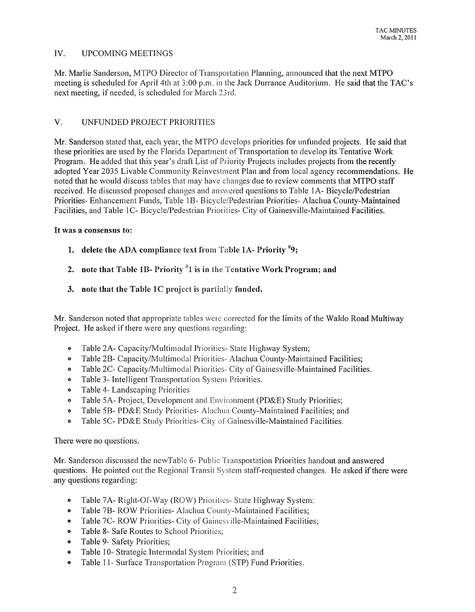### IV. UPCOMING MEETINGS

Mr. Marlie Sanderson, MTPO Director of Transportation Planning, announced that the next MTPO meeting is scheduled for April 4th at 3:00 p.m. in the Jack Durrance Auditorium. He said that the TAC's next meeting, if needed, is scheduled for March 23rd.

### V. UNFUNDED PROJECT PRIORITIES

Mr. Sanderson stated that, each year, the MTPO develops priorities for unfunded projects. He said that these priorities are used by the Florida Department of Transportation to develop its Tentative Work Program. He added that this year's draft List of Priority Projects includes projects from the recently adopted Year 2035 Livable Community Reinvestment Plan and from local agency recommendations. He noted that he would discuss tables that may have changes due to review comments that MTPO staff received. He discussed proposed changes and answered questions to Table lA- Bicycle/Pedestrian Priorities- Enhancement Funds, Table 1B- Bicycle/Pedestrian Priorities- Alachua County-Maintained Facilities, and Table 1C- Bicycle/Pedestrian Priorities- City of Gainesville-Maintained Facilities.

### It was a consensus to:

- 1. delete the ADA compliance text from Table 1A- Priority  $*9$ ;
- 2. note that Table 1B- Priority  $n/1$  is in the Tentative Work Program; and
- 3. note that the Table  $1C$  project is partially funded.

Mr. Sanderson noted that appropriate tables were corrected for the limits of the Waldo Road Multiway Project. He asked if there were any questions regarding:

- Table *2A-* Capacity/Multimodal Priorities- State Highway System;
- Table 2B- Capacity/Multimodal Priorities- Alachua County-Maintained Facilities;
- Table 2C- Capacity/Multimodal Priorities- City of Gainesville-Maintained Facilities.
- Table 3- Intelligent Transportation System Priorities.
- Table 4- Landscaping Priorities
- Table *5A-* Project, Development and Environment (PD&E) Study Priorities;
- Table 5B- PD&E Study Priorities- Alachua County-Maintained Facilities; and
- Table 5C- PD&E Study Priorities- City of Gainesville-Maintained Facilities.

There were no questions.

Mr. Sanderson discussed the newTable 6- Public Transportation Priorities handout and answered questions. He pointed out the Regional Transit System staff-requested changes. He asked if there were any questions regarding:

- Table 7A- Right-Of-Way (ROW) Priorities- State Highway System:
- Table 7B- ROW Priorities- Alachua County-Maintained Facilities;
- Table 7C- ROW Priorities- City of Gainesville-Maintained Facilities;
- Table 8- Safe Routes to School Priorities;
- Table 9- Safety Priorities;
- Table 10- Strategic Intermodal System Priorities; and
- Table 11- Surface Transportation Program (STP) Fund Priorities.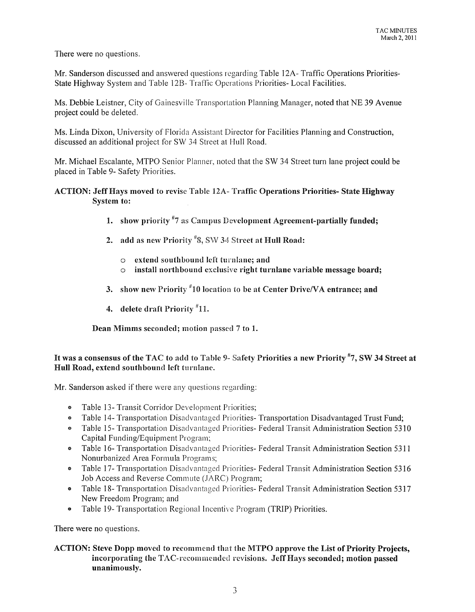There were no questions.

Mr. Sanderson discussed and answered questions regarding Table 12A- Traffic Operations Priorities-State Highway System and Table 12B- Traffic Operations Priorities- Local Facilities.

Ms. Debbie Leistner, City of Gainesville Transportation Planning Manager, noted that NE 39 Avenue project could be deleted.

Ms. Linda Dixon, University of Florida Assistant Director for Facilities Planning and Construction, discussed an additional project for SW 34 Street at Hull Road.

Mr. Michael Escalante, MTPO Senior Planner, noted that the SW 34 Street turn lane project could be placed in Table 9- Safety Priorities.

### ACTION: Jeff Hays moved to revise Table 12A- Traffic Operations Priorities- State Highway System to:

- 1. show priority "7 as Campus Development Agreement-partially funded;
- 2. add as new Priority  $\sqrt[4]{8}$ , SW 34 Street at Hull Road:
	- o extend southbound left turnlane; and
	- $\circ$  install northbound exclusive right turnlane variable message board;
- 3. show new Priority  $^{\#}10$  location to be at Center Drive/VA entrance; and
- 4. delete draft Priority  $"11$ .

Dean Mimms seconded; motion passed 7 to 1.

## It was a consensus of the TAC to add to Table 9- Safety Priorities a new Priority #7, SW 34 Street at Hull Road, extend southbound left turnlane.

Mr. Sanderson asked if there were any questions regarding:

- Table 13- Transit Corridor Development Priorities;
- Table 14- Transportation Disadvantaged Priorities- Transportation Disadvantaged Trust Fund;
- Table 15- Transportation Disadvantaged Priorities- Federal Transit Administration Section 5310 Capital Funding/Equipment Program;
- <sup>o</sup> Table 16- Transportation Disadvantaged Priorities- Federal Transit Administration Section 5311 Nonurbanized Area Formula Programs;
- Table 17- Transportation Disadvantaged Priorities- Federal Transit Administration Section 5316 Job Access and Reverse Commute (JARC) Program;
- e Table 18- Transportation Disadvantaged Priorities- Federal Transit Administration Section 5317 New Freedom Program; and
- Table 19- Transportation Regional Incentive Program (TRIP) Priorities.

There were no questions.

### ACTION: Steve Dopp moved to recommend that the MTPO approve the List of Priority Projects, incorporating the TAC-recommended revisions. Jeff Hays seconded; motion passed unanimously.